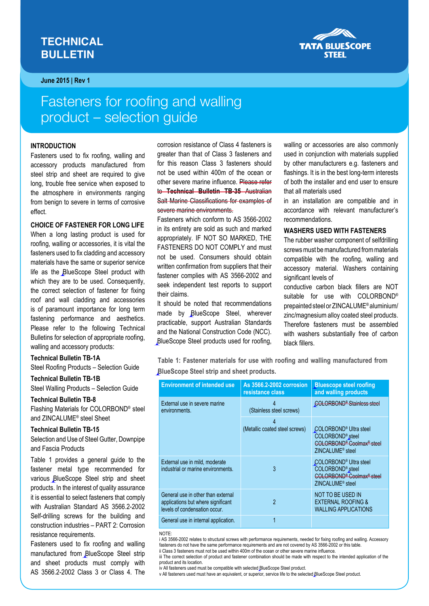# **TECHNICAL BULLETIN**

**June 2015 | Rev 1**



# Fasteners for roofing and walling product – selection guide

#### **INTRODUCTION**

Fasteners used to fix roofing, walling and accessory products manufactured from steel strip and sheet are required to give long, trouble free service when exposed to the atmosphere in environments ranging from benign to severe in terms of corrosive effect.

#### **CHOICE OF FASTENER FOR LONG LIFE**

When a long lasting product is used for roofing, walling or accessories, it is vital the fasteners used to fix cladding and accessory materials have the same or superior service life as the BlueScope Steel product with which they are to be used. Consequently, the correct selection of fastener for fixing roof and wall cladding and accessories is of paramount importance for long term fastening performance and aesthetics. Please refer to the following Technical Bulletins for selection of appropriate roofing, walling and accessory products:

#### **Technical Bulletin TB-1A**

Steel Roofing Products – Selection Guide

**Technical Bulletin TB-1B** Steel Walling Products – Selection Guide

#### **Technical Bulletin TB-8**

Flashing Materials for COLORBOND® steel and ZINCALUME® steel Sheet

#### **Technical Bulletin TB-15**

Selection and Use of Steel Gutter, Downpipe and Fascia Products

Table 1 provides a general guide to the fastener metal type recommended for various BlueScope Steel strip and sheet products. In the interest of quality assurance it is essential to select fasteners that comply with Australian Standard AS 3566.2-2002 Self-drilling screws for the building and construction industries – PART 2: Corrosion resistance requirements.

Fasteners used to fix roofing and walling manufactured from BlueScope Steel strip and sheet products must comply with AS 3566.2-2002 Class 3 or Class 4. The

corrosion resistance of Class 4 fasteners is greater than that of Class 3 fasteners and for this reason Class 3 fasteners should not be used within 400m of the ocean or other severe marine influence. Please refer to **Technical Bulletin TB-35** Australian Salt Marine Classifications for examples of severe marine environments.

Fasteners which conform to AS 3566-2002 in its entirety are sold as such and marked appropriately. IF NOT SO MARKED, THE FASTENERS DO NOT COMPLY and must not be used. Consumers should obtain written confirmation from suppliers that their fastener complies with AS 3566-2002 and seek independent test reports to support their claims.

It should be noted that recommendations made by BlueScope Steel, wherever practicable, support Australian Standards and the National Construction Code (NCC). BlueScope Steel products used for roofing,

walling or accessories are also commonly used in conjunction with materials supplied by other manufacturers e.g. fasteners and flashings. It is in the best long-term interests of both the installer and end user to ensure that all materials used

in an installation are compatible and in accordance with relevant manufacturer's recommendations.

#### **WASHERS USED WITH FASTENERS**

The rubber washer component of selfdrilling screws must be manufactured from materials compatible with the roofing, walling and accessory material. Washers containing significant levels of

conductive carbon black fillers are NOT suitable for use with COLORBOND® prepainted steel or ZINCALUME® aluminium/ zinc/magnesium alloy coated steel products. Therefore fasteners must be assembled with washers substantially free of carbon black fillers.

**Table 1: Fastener materials for use with roofing and walling manufactured from BlueScope Steel strip and sheet products.**

| <b>Environment of intended use</b>                                                                        | As 3566.2-2002 corrosion<br>resistance class | <b>Bluescope steel roofing</b><br>and walling products                                                                                                  |
|-----------------------------------------------------------------------------------------------------------|----------------------------------------------|---------------------------------------------------------------------------------------------------------------------------------------------------------|
| External use in severe marine<br>environments.                                                            | (Stainless steel screws)                     | COLORBOND <sup>®</sup> Stainless steel                                                                                                                  |
|                                                                                                           | (Metallic coated steel screws)               | COLORBOND <sup>®</sup> Ultra steel<br>COLORBOND <sup>®</sup> steel<br>COLORBOND <sup>®</sup> Coolmax <sup>®</sup> steel<br>ZINCALUME <sup>®</sup> steel |
| External use in mild, moderate<br>industrial or marine environments.                                      | 3                                            | COLORBOND <sup>®</sup> Ultra steel<br>COLORBOND <sup>®</sup> steel<br>COLORBOND <sup>®</sup> Coolmax <sup>®</sup> steel<br>ZINCALUME <sup>®</sup> steel |
| General use in other than external<br>applications but where significant<br>levels of condensation occur. | 2                                            | NOT TO BE USED IN<br><b>EXTERNAL ROOFING &amp;</b><br><b>WALLING APPLICATIONS</b>                                                                       |
| General use in internal application.                                                                      |                                              |                                                                                                                                                         |

**NOTE:** 

i AS 3566-2002 relates to structural screws with performance requirements, needed for fixing roofing and walling. Accessory fasteners do not have the same performance requirements and are not covered by AS 3566-2002 or this table. ii Class 3 fasteners must not be used within 400m of the ocean or other severe marine influence.

iii The correct selection of product and fastener combination should be made with respect to the intended application of the product and its location.

iv All fasteners used must be compatible with selected BlueScope Steel product.

v All fasteners used must have an equivalent, or superior, service life to the selected BlueScope Steel product.